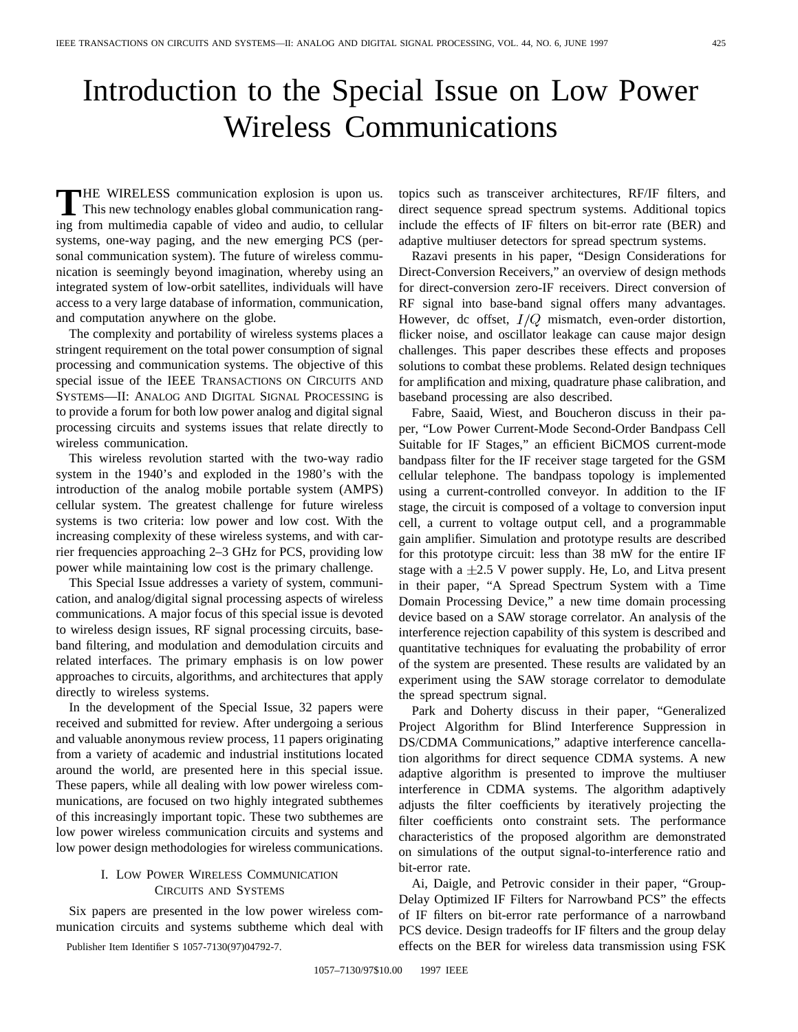## Introduction to the Special Issue on Low Power Wireless Communications

**THE WIRELESS** communication explosion is upon us. This new technology enables global communication ranging from multimedia capable of video and audio, to cellular systems, one-way paging, and the new emerging PCS (personal communication system). The future of wireless communication is seemingly beyond imagination, whereby using an integrated system of low-orbit satellites, individuals will have access to a very large database of information, communication, and computation anywhere on the globe.

The complexity and portability of wireless systems places a stringent requirement on the total power consumption of signal processing and communication systems. The objective of this special issue of the IEEE TRANSACTIONS ON CIRCUITS AND SYSTEMS—II: ANALOG AND DIGITAL SIGNAL PROCESSING is to provide a forum for both low power analog and digital signal processing circuits and systems issues that relate directly to wireless communication.

This wireless revolution started with the two-way radio system in the 1940's and exploded in the 1980's with the introduction of the analog mobile portable system (AMPS) cellular system. The greatest challenge for future wireless systems is two criteria: low power and low cost. With the increasing complexity of these wireless systems, and with carrier frequencies approaching 2–3 GHz for PCS, providing low power while maintaining low cost is the primary challenge.

This Special Issue addresses a variety of system, communication, and analog/digital signal processing aspects of wireless communications. A major focus of this special issue is devoted to wireless design issues, RF signal processing circuits, baseband filtering, and modulation and demodulation circuits and related interfaces. The primary emphasis is on low power approaches to circuits, algorithms, and architectures that apply directly to wireless systems.

In the development of the Special Issue, 32 papers were received and submitted for review. After undergoing a serious and valuable anonymous review process, 11 papers originating from a variety of academic and industrial institutions located around the world, are presented here in this special issue. These papers, while all dealing with low power wireless communications, are focused on two highly integrated subthemes of this increasingly important topic. These two subthemes are low power wireless communication circuits and systems and low power design methodologies for wireless communications.

## I. LOW POWER WIRELESS COMMUNICATION CIRCUITS AND SYSTEMS

Six papers are presented in the low power wireless communication circuits and systems subtheme which deal with

Publisher Item Identifier S 1057-7130(97)04792-7.

topics such as transceiver architectures, RF/IF filters, and direct sequence spread spectrum systems. Additional topics include the effects of IF filters on bit-error rate (BER) and adaptive multiuser detectors for spread spectrum systems.

Razavi presents in his paper, "Design Considerations for Direct-Conversion Receivers," an overview of design methods for direct-conversion zero-IF receivers. Direct conversion of RF signal into base-band signal offers many advantages. However, dc offset,  $I/Q$  mismatch, even-order distortion, flicker noise, and oscillator leakage can cause major design challenges. This paper describes these effects and proposes solutions to combat these problems. Related design techniques for amplification and mixing, quadrature phase calibration, and baseband processing are also described.

Fabre, Saaid, Wiest, and Boucheron discuss in their paper, "Low Power Current-Mode Second-Order Bandpass Cell Suitable for IF Stages," an efficient BiCMOS current-mode bandpass filter for the IF receiver stage targeted for the GSM cellular telephone. The bandpass topology is implemented using a current-controlled conveyor. In addition to the IF stage, the circuit is composed of a voltage to conversion input cell, a current to voltage output cell, and a programmable gain amplifier. Simulation and prototype results are described for this prototype circuit: less than 38 mW for the entire IF stage with a  $\pm 2.5$  V power supply. He, Lo, and Litva present in their paper, "A Spread Spectrum System with a Time Domain Processing Device," a new time domain processing device based on a SAW storage correlator. An analysis of the interference rejection capability of this system is described and quantitative techniques for evaluating the probability of error of the system are presented. These results are validated by an experiment using the SAW storage correlator to demodulate the spread spectrum signal.

Park and Doherty discuss in their paper, "Generalized Project Algorithm for Blind Interference Suppression in DS/CDMA Communications," adaptive interference cancellation algorithms for direct sequence CDMA systems. A new adaptive algorithm is presented to improve the multiuser interference in CDMA systems. The algorithm adaptively adjusts the filter coefficients by iteratively projecting the filter coefficients onto constraint sets. The performance characteristics of the proposed algorithm are demonstrated on simulations of the output signal-to-interference ratio and bit-error rate.

Ai, Daigle, and Petrovic consider in their paper, "Group-Delay Optimized IF Filters for Narrowband PCS" the effects of IF filters on bit-error rate performance of a narrowband PCS device. Design tradeoffs for IF filters and the group delay effects on the BER for wireless data transmission using FSK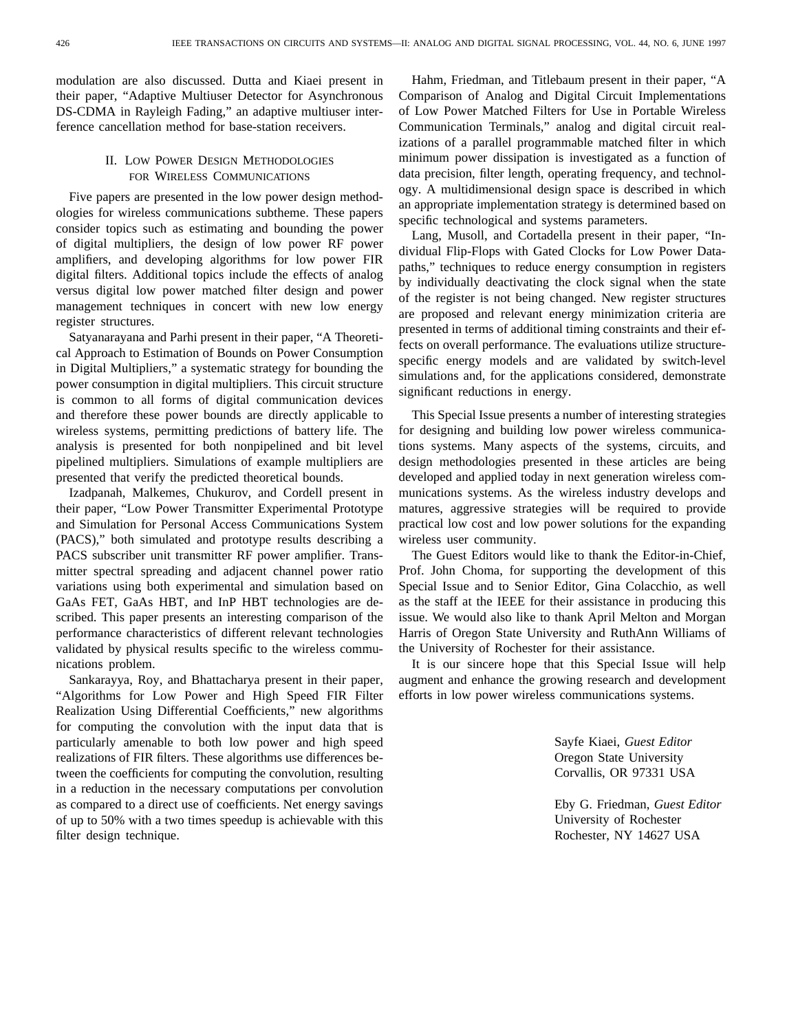modulation are also discussed. Dutta and Kiaei present in their paper, "Adaptive Multiuser Detector for Asynchronous DS-CDMA in Rayleigh Fading," an adaptive multiuser interference cancellation method for base-station receivers.

## II. LOW POWER DESIGN METHODOLOGIES FOR WIRELESS COMMUNICATIONS

Five papers are presented in the low power design methodologies for wireless communications subtheme. These papers consider topics such as estimating and bounding the power of digital multipliers, the design of low power RF power amplifiers, and developing algorithms for low power FIR digital filters. Additional topics include the effects of analog versus digital low power matched filter design and power management techniques in concert with new low energy register structures.

Satyanarayana and Parhi present in their paper, "A Theoretical Approach to Estimation of Bounds on Power Consumption in Digital Multipliers," a systematic strategy for bounding the power consumption in digital multipliers. This circuit structure is common to all forms of digital communication devices and therefore these power bounds are directly applicable to wireless systems, permitting predictions of battery life. The analysis is presented for both nonpipelined and bit level pipelined multipliers. Simulations of example multipliers are presented that verify the predicted theoretical bounds.

Izadpanah, Malkemes, Chukurov, and Cordell present in their paper, "Low Power Transmitter Experimental Prototype and Simulation for Personal Access Communications System (PACS)," both simulated and prototype results describing a PACS subscriber unit transmitter RF power amplifier. Transmitter spectral spreading and adjacent channel power ratio variations using both experimental and simulation based on GaAs FET, GaAs HBT, and InP HBT technologies are described. This paper presents an interesting comparison of the performance characteristics of different relevant technologies validated by physical results specific to the wireless communications problem.

Sankarayya, Roy, and Bhattacharya present in their paper, "Algorithms for Low Power and High Speed FIR Filter Realization Using Differential Coefficients," new algorithms for computing the convolution with the input data that is particularly amenable to both low power and high speed realizations of FIR filters. These algorithms use differences between the coefficients for computing the convolution, resulting in a reduction in the necessary computations per convolution as compared to a direct use of coefficients. Net energy savings of up to 50% with a two times speedup is achievable with this filter design technique.

Hahm, Friedman, and Titlebaum present in their paper, "A Comparison of Analog and Digital Circuit Implementations of Low Power Matched Filters for Use in Portable Wireless Communication Terminals," analog and digital circuit realizations of a parallel programmable matched filter in which minimum power dissipation is investigated as a function of data precision, filter length, operating frequency, and technology. A multidimensional design space is described in which an appropriate implementation strategy is determined based on specific technological and systems parameters.

Lang, Musoll, and Cortadella present in their paper, "Individual Flip-Flops with Gated Clocks for Low Power Datapaths," techniques to reduce energy consumption in registers by individually deactivating the clock signal when the state of the register is not being changed. New register structures are proposed and relevant energy minimization criteria are presented in terms of additional timing constraints and their effects on overall performance. The evaluations utilize structurespecific energy models and are validated by switch-level simulations and, for the applications considered, demonstrate significant reductions in energy.

This Special Issue presents a number of interesting strategies for designing and building low power wireless communications systems. Many aspects of the systems, circuits, and design methodologies presented in these articles are being developed and applied today in next generation wireless communications systems. As the wireless industry develops and matures, aggressive strategies will be required to provide practical low cost and low power solutions for the expanding wireless user community.

The Guest Editors would like to thank the Editor-in-Chief, Prof. John Choma, for supporting the development of this Special Issue and to Senior Editor, Gina Colacchio, as well as the staff at the IEEE for their assistance in producing this issue. We would also like to thank April Melton and Morgan Harris of Oregon State University and RuthAnn Williams of the University of Rochester for their assistance.

It is our sincere hope that this Special Issue will help augment and enhance the growing research and development efforts in low power wireless communications systems.

> Sayfe Kiaei, *Guest Editor* Oregon State University Corvallis, OR 97331 USA

Eby G. Friedman, *Guest Editor* University of Rochester Rochester, NY 14627 USA